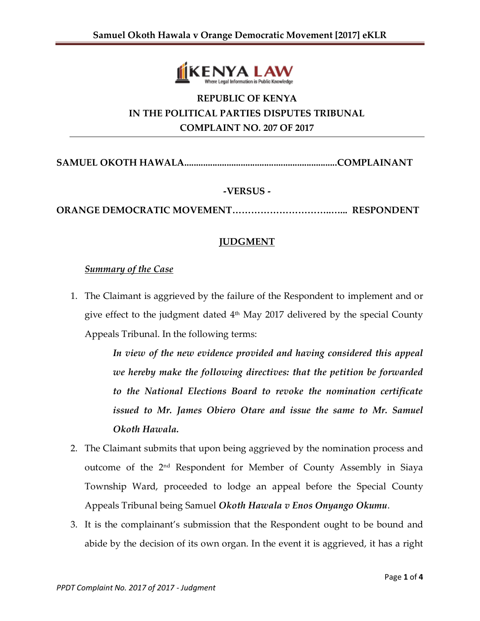

# **REPUBLIC OF KENYA IN THE POLITICAL PARTIES DISPUTES TRIBUNAL COMPLAINT NO. 207 OF 2017**

**SAMUEL OKOTH HAWALA.................................................................COMPLAINANT**

#### **-VERSUS -**

**ORANGE DEMOCRATIC MOVEMENT…………………………..…... RESPONDENT**

### **JUDGMENT**

#### *Summary of the Case*

1. The Claimant is aggrieved by the failure of the Respondent to implement and or give effect to the judgment dated 4 th May 2017 delivered by the special County Appeals Tribunal. In the following terms:

> *In view of the new evidence provided and having considered this appeal we hereby make the following directives: that the petition be forwarded to the National Elections Board to revoke the nomination certificate issued to Mr. James Obiero Otare and issue the same to Mr. Samuel Okoth Hawala.*

- 2. The Claimant submits that upon being aggrieved by the nomination process and outcome of the 2nd Respondent for Member of County Assembly in Siaya Township Ward, proceeded to lodge an appeal before the Special County Appeals Tribunal being Samuel *Okoth Hawala v Enos Onyango Okumu*.
- 3. It is the complainant's submission that the Respondent ought to be bound and abide by the decision of its own organ. In the event it is aggrieved, it has a right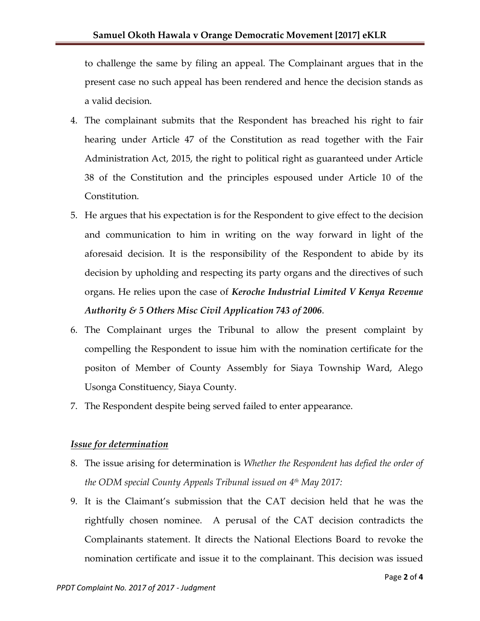to challenge the same by filing an appeal. The Complainant argues that in the present case no such appeal has been rendered and hence the decision stands as a valid decision.

- 4. The complainant submits that the Respondent has breached his right to fair hearing under Article 47 of the Constitution as read together with the Fair Administration Act, 2015, the right to political right as guaranteed under Article 38 of the Constitution and the principles espoused under Article 10 of the Constitution.
- 5. He argues that his expectation is for the Respondent to give effect to the decision and communication to him in writing on the way forward in light of the aforesaid decision. It is the responsibility of the Respondent to abide by its decision by upholding and respecting its party organs and the directives of such organs. He relies upon the case of *Keroche Industrial Limited V Kenya Revenue Authority & 5 Others Misc Civil Application 743 of 2006*.
- 6. The Complainant urges the Tribunal to allow the present complaint by compelling the Respondent to issue him with the nomination certificate for the positon of Member of County Assembly for Siaya Township Ward, Alego Usonga Constituency, Siaya County.
- 7. The Respondent despite being served failed to enter appearance.

#### *Issue for determination*

- 8. The issue arising for determination is *Whether the Respondent has defied the order of the ODM special County Appeals Tribunal issued on 4 th May 2017:*
- 9. It is the Claimant's submission that the CAT decision held that he was the rightfully chosen nominee. A perusal of the CAT decision contradicts the Complainants statement. It directs the National Elections Board to revoke the nomination certificate and issue it to the complainant. This decision was issued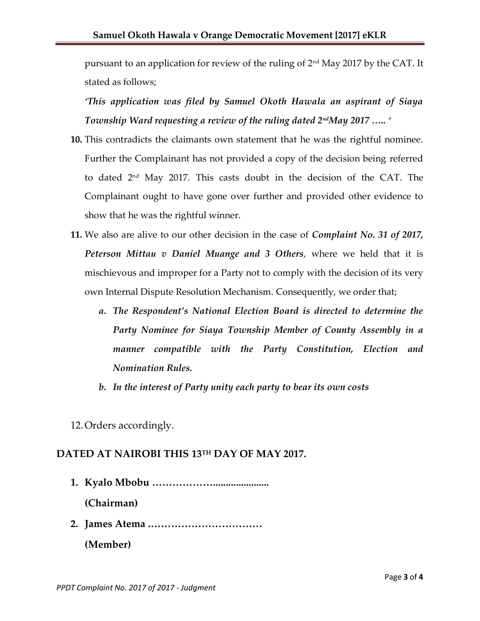pursuant to an application for review of the ruling of 2nd May 2017 by the CAT. It stated as follows;

*'This application was filed by Samuel Okoth Hawala an aspirant of Siaya Township Ward requesting a review of the ruling dated 2ndMay 2017 ….. '*

- **10.** This contradicts the claimants own statement that he was the rightful nominee. Further the Complainant has not provided a copy of the decision being referred to dated 2nd May 2017. This casts doubt in the decision of the CAT. The Complainant ought to have gone over further and provided other evidence to show that he was the rightful winner.
- **11.** We also are alive to our other decision in the case of *Complaint No. 31 of 2017, Peterson Mittau v Daniel Muange and 3 Others*, where we held that it is mischievous and improper for a Party not to comply with the decision of its very own Internal Dispute Resolution Mechanism. Consequently, we order that;
	- *a. The Respondent's National Election Board is directed to determine the Party Nominee for Siaya Township Member of County Assembly in a manner compatible with the Party Constitution, Election and Nomination Rules.*
	- *b. In the interest of Party unity each party to bear its own costs*
- 12.Orders accordingly.

## **DATED AT NAIROBI THIS 13 TH DAY OF MAY 2017.**

**1. Kyalo Mbobu ………………......................**

**(Chairman)** 

**2. James Atema .……………………………**

**(Member)**